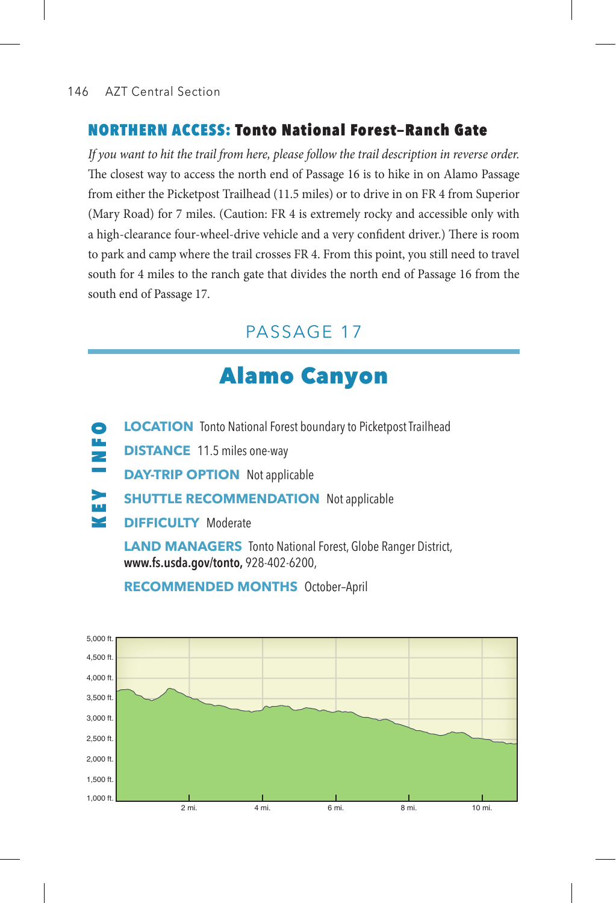### 146 AZT Central Section

### NORTHERN ACCESS: Tonto National Forest—Ranch Gate

*If you want to hit the trail from here, please follow the trail description in reverse order.* The closest way to access the north end of Passage 16 is to hike in on Alamo Passage from either the Picketpost Trailhead (11.5 miles) or to drive in on FR 4 from Superior (Mary Road) for 7 miles. (Caution: FR 4 is extremely rocky and accessible only with a high-clearance four-wheel-drive vehicle and a very confident driver.) There is room to park and camp where the trail crosses FR 4. From this point, you still need to travel south for 4 miles to the ranch gate that divides the north end of Passage 16 from the south end of Passage 17.

# PASSAGE 17

# Alamo Canyon

- **LOCATION** Tonto National Forest boundary to Picketpost Trailhead
- $\frac{1}{2}$ **DISTANCE** 11.5 miles one-way
	- **DAY-TRIP OPTION** Not applicable
- KEY INFO ⋗ **SHUTTLE RECOMMENDATION** Not applicable
- $\blacksquare$ **DIFFICULTY** Moderate

**LAND MANAGERS** Tonto National Forest, Globe Ranger District, **www.fs.usda.gov/tonto,** 928-402-6200,

2 mi. 4 mi. 6 mi. 8 mi. 10 mi. 5,000 ft. 4,500 ft. 4,000 ft. 3,500 ft. 3,000 ft. 2,500 ft. 2,000 ft. 1,500 ft. 1,000 ft.

**RECOMMENDED MONTHS** October–April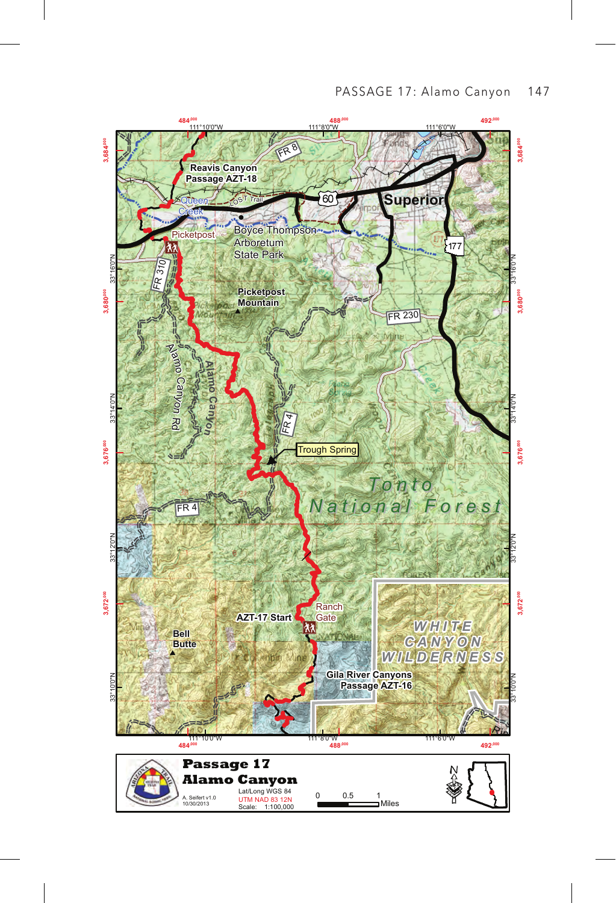#### PASSAGE 17: Alamo Canyon 147

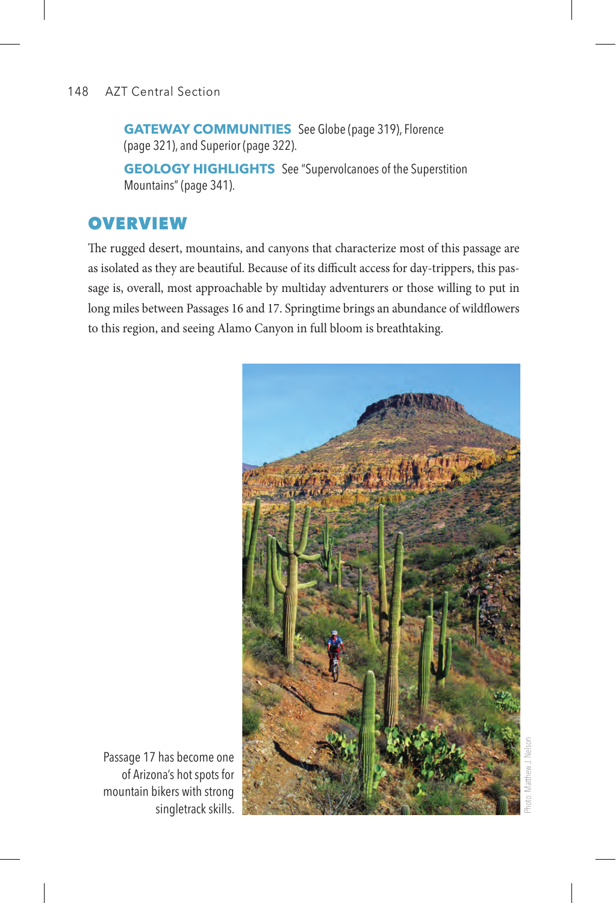### 148 AZT Central Section

**GATEWAY COMMUNITIES** See Globe (page 319), Florence (page 321), and Superior (page 322).

**GEOLOGY HIGHLIGHTS** See "Supervolcanoes of the Superstition Mountains" (page 341).

# **OVERVIEW**

The rugged desert, mountains, and canyons that characterize most of this passage are as isolated as they are beautiful. Because of its difficult access for day-trippers, this passage is, overall, most approachable by multiday adventurers or those willing to put in long miles between Passages 16 and 17. Springtime brings an abundance of wildflowers to this region, and seeing Alamo Canyon in full bloom is breathtaking.



Passage 17 has become one of Arizona's hot spots for mountain bikers with strong singletrack skills.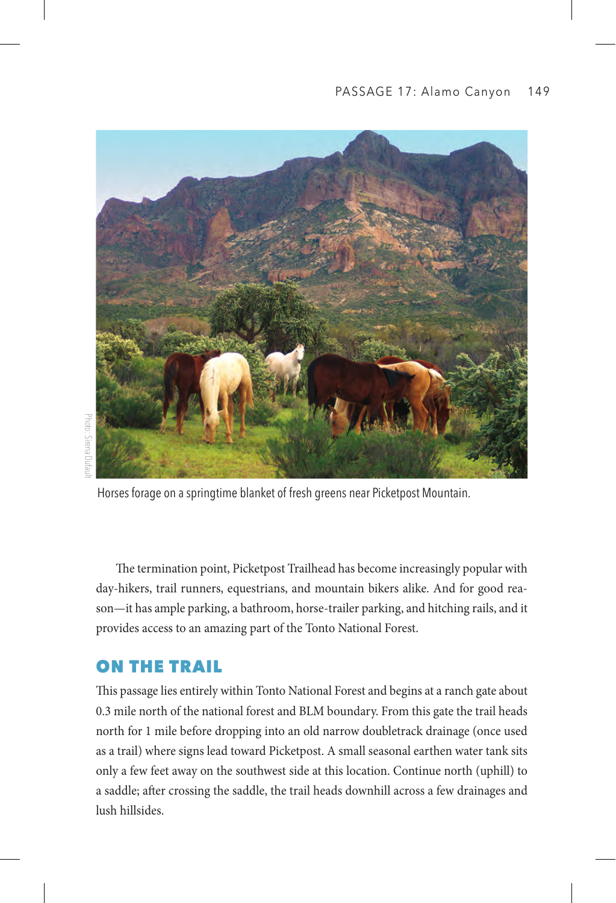

Horses forage on a springtime blanket of fresh greens near Picketpost Mountain.

The termination point, Picketpost Trailhead has become increasingly popular with day-hikers, trail runners, equestrians, and mountain bikers alike. And for good reason—it has ample parking, a bathroom, horse-trailer parking, and hitching rails, and it provides access to an amazing part of the Tonto National Forest.

# ON THE TRAIL

This passage lies entirely within Tonto National Forest and begins at a ranch gate about 0.3 mile north of the national forest and BLM boundary. From this gate the trail heads north for 1 mile before dropping into an old narrow doubletrack drainage (once used as a trail) where signs lead toward Picketpost. A small seasonal earthen water tank sits only a few feet away on the southwest side at this location. Continue north (uphill) to a saddle; after crossing the saddle, the trail heads downhill across a few drainages and lush hillsides.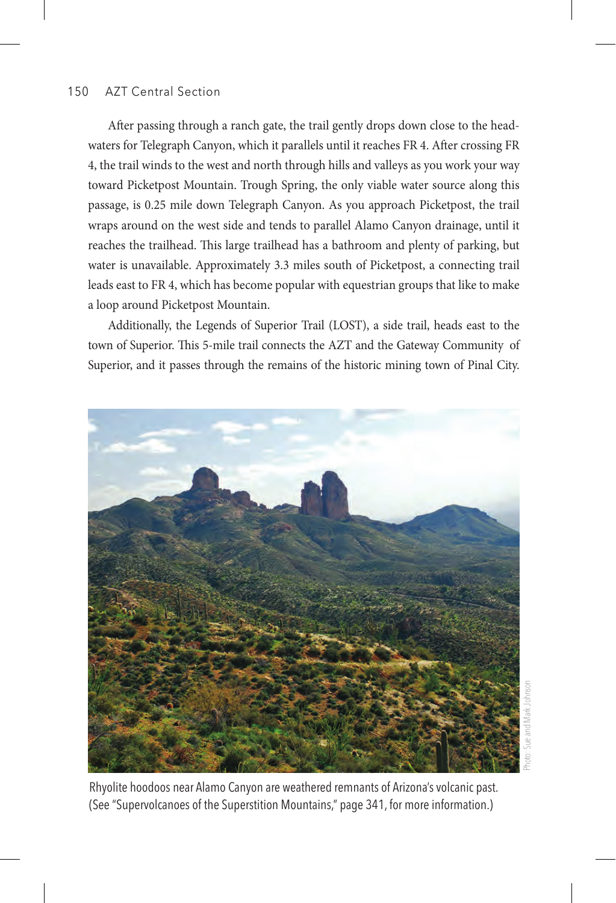### 150 AZT Central Section

After passing through a ranch gate, the trail gently drops down close to the headwaters for Telegraph Canyon, which it parallels until it reaches FR 4. After crossing FR 4, the trail winds to the west and north through hills and valleys as you work your way toward Picketpost Mountain. Trough Spring, the only viable water source along this passage, is 0.25 mile down Telegraph Canyon. As you approach Picketpost, the trail wraps around on the west side and tends to parallel Alamo Canyon drainage, until it reaches the trailhead. This large trailhead has a bathroom and plenty of parking, but water is unavailable. Approximately 3.3 miles south of Picketpost, a connecting trail leads east to FR 4, which has become popular with equestrian groups that like to make a loop around Picketpost Mountain.

Additionally, the Legends of Superior Trail (LOST), a side trail, heads east to the town of Superior. This 5-mile trail connects the AZT and the Gateway Community of Superior, and it passes through the remains of the historic mining town of Pinal City.



Photo: Sue and Mark Johnsonsue and Mark Johnso

Rhyolite hoodoos near Alamo Canyon are weathered remnants of Arizona's volcanic past. (See "Supervolcanoes of the Superstition Mountains," page 341, for more information.)